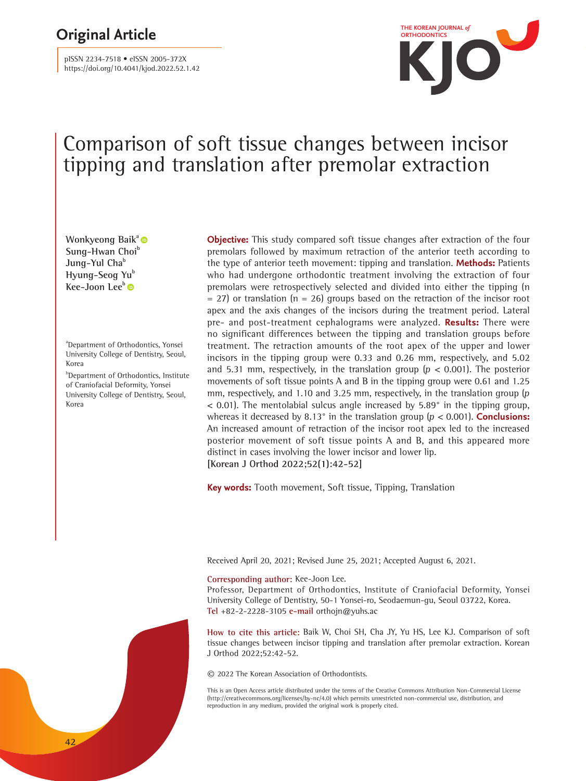# **THE KOREAN JOURNAL of <b>COREAN JOURNAL OF COREAN JOURNAL of**

pISSN 2234-7518 • eISSN 2005-372X https://doi.org/10.4041/kjod.2022.52.1.42



# Comparison of soft tissue changes between incisor tipping and translation after premolar extraction

**Wonkyeong Baik[a](https://orcid.org/0000-0002-3223-2151)**  Sung-Hwan Choi<sup>b</sup> **Jung-Yul Cha<sup>b</sup> Hyung-Seog Yu<sup>b</sup> Kee-Joon Lee[b](https://orcid.org/0000-0002-0782-3128)** 

a Department of Orthodontics, Yonsei University College of Dentistry, Seoul, Korea

**b**Department of Orthodontics, Institute of Craniofacial Deformity, Yonsei University College of Dentistry, Seoul, Korea

**Objective:** This study compared soft tissue changes after extraction of the four premolars followed by maximum retraction of the anterior teeth according to the type of anterior teeth movement: tipping and translation. **Methods:** Patients who had undergone orthodontic treatment involving the extraction of four premolars were retrospectively selected and divided into either the tipping (n  $= 27$ ) or translation (n = 26) groups based on the retraction of the incisor root apex and the axis changes of the incisors during the treatment period. Lateral pre- and post-treatment cephalograms were analyzed. **Results:** There were no significant differences between the tipping and translation groups before treatment. The retraction amounts of the root apex of the upper and lower incisors in the tipping group were 0.33 and 0.26 mm, respectively, and 5.02 and 5.31 mm, respectively, in the translation group ( $p < 0.001$ ). The posterior movements of soft tissue points A and B in the tipping group were 0.61 and 1.25 mm, respectively, and 1.10 and 3.25 mm, respectively, in the translation group (<sup>p</sup>  $<$  0.01). The mentolabial sulcus angle increased by 5.89 $^{\circ}$  in the tipping group, whereas it decreased by 8.13° in the translation group (p < 0.001). **Conclusions:** An increased amount of retraction of the incisor root apex led to the increased posterior movement of soft tissue points A and B, and this appeared more distinct in cases involving the lower incisor and lower lip. **[Korean J Orthod 2022;52(1):42-52]**

**Key words:** Tooth movement, Soft tissue, Tipping, Translation

Received April 20, 2021; Revised June 25, 2021; Accepted August 6, 2021.

#### **Corresponding author:** Kee-Joon Lee.

Professor, Department of Orthodontics, Institute of Craniofacial Deformity, Yonsei University College of Dentistry, 50-1 Yonsei-ro, Seodaemun-gu, Seoul 03722, Korea. **Tel** +82-2-2228-3105 **e-mail** orthojn@yuhs.ac

**How to cite this article:** Baik W, Choi SH, Cha JY, Yu HS, Lee KJ. Comparison of soft tissue changes between incisor tipping and translation after premolar extraction. Korean J Orthod 2022;52:42-52.

© 2022 The Korean Association of Orthodontists.

This is an Open Access article distributed under the terms of the Creative Commons Attribution Non-Commercial License (http://creativecommons.org/licenses/by-nc/4.0) which permits unrestricted non-commercial use, distribution, and reproduction in any medium, provided the original work is properly cited.

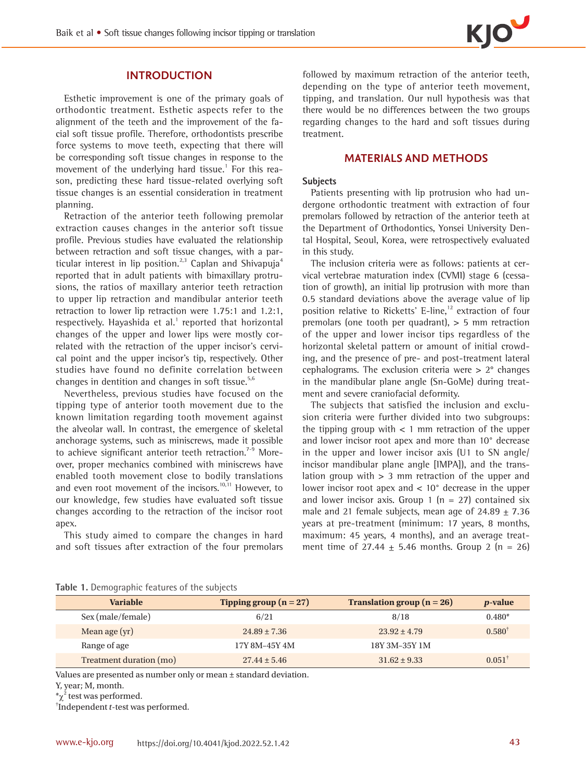## **INTRODUCTION**

Esthetic improvement is one of the primary goals of orthodontic treatment. Esthetic aspects refer to the alignment of the teeth and the improvement of the facial soft tissue profile. Therefore, orthodontists prescribe force systems to move teeth, expecting that there will be corresponding soft tissue changes in response to the movement of the underlying hard tissue.<sup>1</sup> For this reason, predicting these hard tissue-related overlying soft tissue changes is an essential consideration in treatment planning.

Retraction of the anterior teeth following premolar extraction causes changes in the anterior soft tissue profile. Previous studies have evaluated the relationship between retraction and soft tissue changes, with a particular interest in lip position.<sup>2,3</sup> Caplan and Shivapuja<sup>4</sup> reported that in adult patients with bimaxillary protrusions, the ratios of maxillary anterior teeth retraction to upper lip retraction and mandibular anterior teeth retraction to lower lip retraction were 1.75:1 and 1.2:1, respectively. Hayashida et al.1 reported that horizontal changes of the upper and lower lips were mostly correlated with the retraction of the upper incisor's cervical point and the upper incisor's tip, respectively. Other studies have found no definite correlation between changes in dentition and changes in soft tissue.<sup>5,6</sup>

Nevertheless, previous studies have focused on the tipping type of anterior tooth movement due to the known limitation regarding tooth movement against the alveolar wall. In contrast, the emergence of skeletal anchorage systems, such as miniscrews, made it possible to achieve significant anterior teeth retraction.<sup>7-9</sup> Moreover, proper mechanics combined with miniscrews have enabled tooth movement close to bodily translations and even root movement of the incisors.<sup>10,11</sup> However, to our knowledge, few studies have evaluated soft tissue changes according to the retraction of the incisor root apex.

This study aimed to compare the changes in hard and soft tissues after extraction of the four premolars

followed by maximum retraction of the anterior teeth, depending on the type of anterior teeth movement, tipping, and translation. Our null hypothesis was that there would be no differences between the two groups regarding changes to the hard and soft tissues during treatment.

## **MATERIALS AND METHODS**

#### **Subjects**

Patients presenting with lip protrusion who had undergone orthodontic treatment with extraction of four premolars followed by retraction of the anterior teeth at the Department of Orthodontics, Yonsei University Dental Hospital, Seoul, Korea, were retrospectively evaluated in this study.

The inclusion criteria were as follows: patients at cervical vertebrae maturation index (CVMI) stage 6 (cessation of growth), an initial lip protrusion with more than 0.5 standard deviations above the average value of lip position relative to Ricketts' E-line, $12$  extraction of four premolars (one tooth per quadrant),  $> 5$  mm retraction of the upper and lower incisor tips regardless of the horizontal skeletal pattern or amount of initial crowding, and the presence of pre- and post-treatment lateral cephalograms. The exclusion criteria were > 2° changes in the mandibular plane angle (Sn-GoMe) during treatment and severe craniofacial deformity.

The subjects that satisfied the inclusion and exclusion criteria were further divided into two subgroups: the tipping group with  $\lt$  1 mm retraction of the upper and lower incisor root apex and more than 10° decrease in the upper and lower incisor axis (U1 to SN angle/ incisor mandibular plane angle [IMPA]), and the translation group with  $> 3$  mm retraction of the upper and lower incisor root apex and < 10° decrease in the upper and lower incisor axis. Group 1 ( $n = 27$ ) contained six male and 21 female subjects, mean age of  $24.89 + 7.36$ years at pre-treatment (minimum: 17 years, 8 months, maximum: 45 years, 4 months), and an average treatment time of 27.44  $\pm$  5.46 months. Group 2 (n = 26)

| <b>Variable</b>         | Tipping group $(n = 27)$ | Translation group $(n = 26)$ | <i>p</i> -value      |
|-------------------------|--------------------------|------------------------------|----------------------|
| Sex (male/female)       | 6/21                     | 8/18                         | $0.480*$             |
| Mean age (yr)           | $24.89 \pm 7.36$         | $23.92 \pm 4.79$             | $0.580^{\dagger}$    |
| Range of age            | 17Y 8M-45Y 4M            | 18Y 3M-35Y 1M                |                      |
| Treatment duration (mo) | $27.44 \pm 5.46$         | $31.62 \pm 9.33$             | $0.051$ <sup>1</sup> |

Values are presented as number only or mean ± standard deviation.

† Independent t-test was performed.

Y, year; M, month.

 $*\chi^2$  test was performed.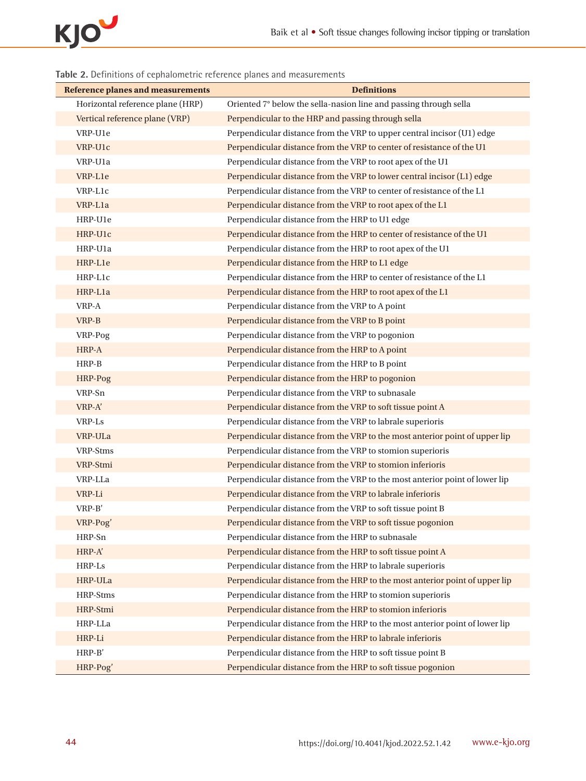

| <b>Reference planes and measurements</b> | <b>Definitions</b>                                                          |
|------------------------------------------|-----------------------------------------------------------------------------|
| Horizontal reference plane (HRP)         | Oriented 7° below the sella-nasion line and passing through sella           |
| Vertical reference plane (VRP)           | Perpendicular to the HRP and passing through sella                          |
| VRP-U1e                                  | Perpendicular distance from the VRP to upper central incisor (U1) edge      |
| VRP-U1c                                  | Perpendicular distance from the VRP to center of resistance of the U1       |
| VRP-U1a                                  | Perpendicular distance from the VRP to root apex of the U1                  |
| VRP-L1e                                  | Perpendicular distance from the VRP to lower central incisor (L1) edge      |
| VRP-L1c                                  | Perpendicular distance from the VRP to center of resistance of the L1       |
| VRP-L1a                                  | Perpendicular distance from the VRP to root apex of the L1                  |
| HRP-U1e                                  | Perpendicular distance from the HRP to U1 edge                              |
| HRP-U1c                                  | Perpendicular distance from the HRP to center of resistance of the U1       |
| HRP-U <sub>1</sub> a                     | Perpendicular distance from the HRP to root apex of the U1                  |
| HRP-L1e                                  | Perpendicular distance from the HRP to L1 edge                              |
| HRP-L1c                                  | Perpendicular distance from the HRP to center of resistance of the L1       |
| HRP-L1a                                  | Perpendicular distance from the HRP to root apex of the L1                  |
| VRP-A                                    | Perpendicular distance from the VRP to A point                              |
| VRP-B                                    | Perpendicular distance from the VRP to B point                              |
| VRP-Pog                                  | Perpendicular distance from the VRP to pogonion                             |
| HRP-A                                    | Perpendicular distance from the HRP to A point                              |
| HRP-B                                    | Perpendicular distance from the HRP to B point                              |
| HRP-Pog                                  | Perpendicular distance from the HRP to pogonion                             |
| VRP-Sn                                   | Perpendicular distance from the VRP to subnasale                            |
| VRP-A'                                   | Perpendicular distance from the VRP to soft tissue point A                  |
| VRP-Ls                                   | Perpendicular distance from the VRP to labrale superioris                   |
| VRP-ULa                                  | Perpendicular distance from the VRP to the most anterior point of upper lip |
| VRP-Stms                                 | Perpendicular distance from the VRP to stomion superioris                   |
| VRP-Stmi                                 | Perpendicular distance from the VRP to stomion inferioris                   |
| VRP-LLa                                  | Perpendicular distance from the VRP to the most anterior point of lower lip |
| VRP-Li                                   | Perpendicular distance from the VRP to labrale inferioris                   |
| VRP-B'                                   | Perpendicular distance from the VRP to soft tissue point B                  |
| VRP-Pog'                                 | Perpendicular distance from the VRP to soft tissue pogonion                 |
| HRP-Sn                                   | Perpendicular distance from the HRP to subnasale                            |
| HRP-A'                                   | Perpendicular distance from the HRP to soft tissue point A                  |
| HRP-Ls                                   | Perpendicular distance from the HRP to labrale superioris                   |
| HRP-ULa                                  | Perpendicular distance from the HRP to the most anterior point of upper lip |
| HRP-Stms                                 | Perpendicular distance from the HRP to stomion superioris                   |
| HRP-Stmi                                 | Perpendicular distance from the HRP to stomion inferioris                   |
| HRP-LLa                                  | Perpendicular distance from the HRP to the most anterior point of lower lip |
| HRP-Li                                   | Perpendicular distance from the HRP to labrale inferioris                   |
| $HRP-B'$                                 | Perpendicular distance from the HRP to soft tissue point B                  |
| HRP-Pog'                                 | Perpendicular distance from the HRP to soft tissue pogonion                 |

# **Table 2.** Definitions of cephalometric reference planes and measurements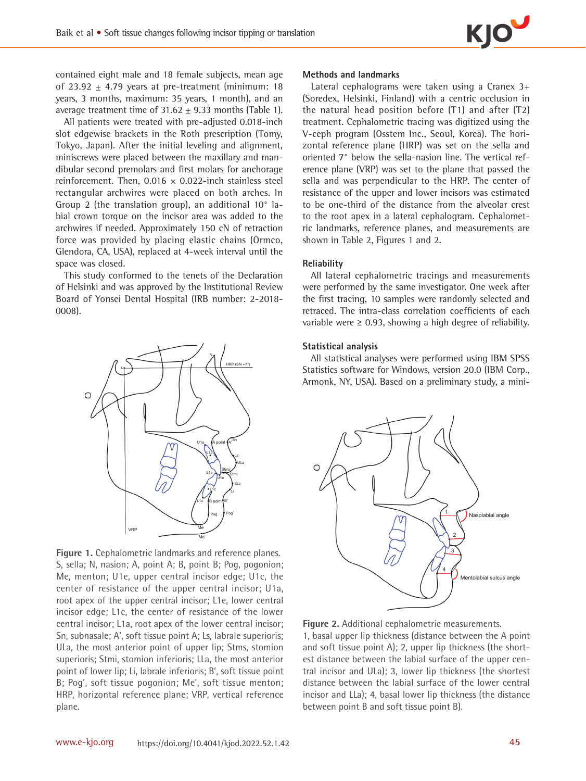contained eight male and 18 female subjects, mean age of 23.92  $\pm$  4.79 years at pre-treatment (minimum: 18 years, 3 months, maximum: 35 years, 1 month), and an average treatment time of  $31.62 \pm 9.33$  months (Table 1).

All patients were treated with pre-adjusted 0.018-inch slot edgewise brackets in the Roth prescription (Tomy, Tokyo, Japan). After the initial leveling and alignment, miniscrews were placed between the maxillary and mandibular second premolars and first molars for anchorage reinforcement. Then,  $0.016 \times 0.022$ -inch stainless steel rectangular archwires were placed on both arches. In Group 2 (the translation group), an additional 10° labial crown torque on the incisor area was added to the archwires if needed. Approximately 150 cN of retraction force was provided by placing elastic chains (Ormco, Glendora, CA, USA), replaced at 4-week interval until the space was closed.

This study conformed to the tenets of the Declaration of Helsinki and was approved by the Institutional Review Board of Yonsei Dental Hospital (IRB number: 2-2018- 0008).



**Figure 1.** Cephalometric landmarks and reference planes. S, sella; N, nasion; A, point A; B, point B; Pog, pogonion; Me, menton; U1e, upper central incisor edge; U1c, the center of resistance of the upper central incisor; U1a, root apex of the upper central incisor; L1e, lower central incisor edge; L1c, the center of resistance of the lower central incisor; L1a, root apex of the lower central incisor; Sn, subnasale; A', soft tissue point A; Ls, labrale superioris; ULa, the most anterior point of upper lip; Stms, stomion superioris; Stmi, stomion inferioris; LLa, the most anterior point of lower lip; Li, labrale inferioris; B', soft tissue point B; Pog', soft tissue pogonion; Me', soft tissue menton; HRP, horizontal reference plane; VRP, vertical reference plane.

#### **Methods and landmarks**

Lateral cephalograms were taken using a Cranex 3+ (Soredex, Helsinki, Finland) with a centric occlusion in the natural head position before (T1) and after (T2) treatment. Cephalometric tracing was digitized using the V-ceph program (Osstem Inc., Seoul, Korea). The horizontal reference plane (HRP) was set on the sella and oriented 7° below the sella-nasion line. The vertical reference plane (VRP) was set to the plane that passed the sella and was perpendicular to the HRP. The center of resistance of the upper and lower incisors was estimated to be one-third of the distance from the alveolar crest to the root apex in a lateral cephalogram. Cephalometric landmarks, reference planes, and measurements are shown in Table 2, Figures 1 and 2.

#### **Reliability**

All lateral cephalometric tracings and measurements were performed by the same investigator. One week after the first tracing, 10 samples were randomly selected and retraced. The intra-class correlation coefficients of each variable were  $\geq 0.93$ , showing a high degree of reliability.

#### **Statistical analysis**

All statistical analyses were performed using IBM SPSS Statistics software for Windows, version 20.0 (IBM Corp., Armonk, NY, USA). Based on a preliminary study, a mini-



**Figure 2.** Additional cephalometric measurements.

1, basal upper lip thickness (distance between the A point and soft tissue point A); 2, upper lip thickness (the shortest distance between the labial surface of the upper central incisor and ULa); 3, lower lip thickness (the shortest distance between the labial surface of the lower central incisor and LLa); 4, basal lower lip thickness (the distance between point B and soft tissue point B).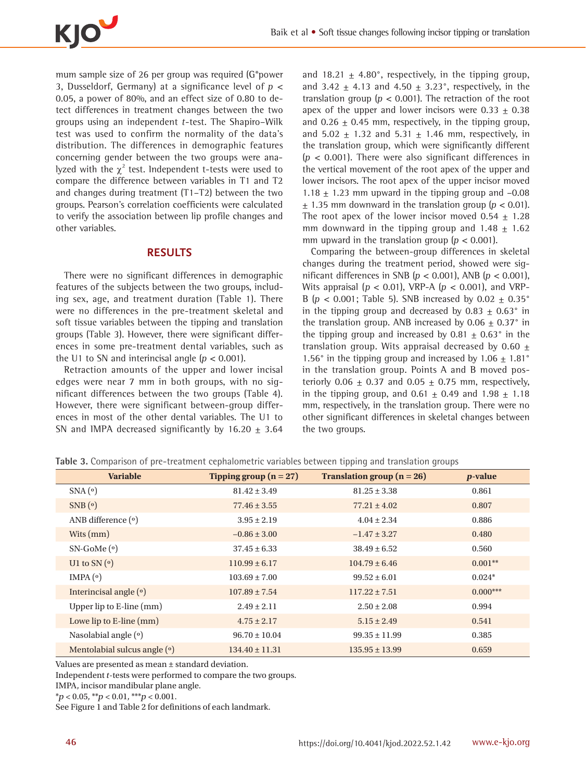

mum sample size of 26 per group was required (G\*power 3, Dusseldorf, Germany) at a significance level of  $p <$ 0.05, a power of 80%, and an effect size of 0.80 to detect differences in treatment changes between the two groups using an independent t-test. The Shapiro–Wilk test was used to confirm the normality of the data's distribution. The differences in demographic features concerning gender between the two groups were analyzed with the  $\chi^2$  test. Independent t-tests were used to compare the difference between variables in T1 and T2 and changes during treatment (T1–T2) between the two groups. Pearson's correlation coefficients were calculated to verify the association between lip profile changes and other variables.

## **RESULTS**

There were no significant differences in demographic features of the subjects between the two groups, including sex, age, and treatment duration (Table 1). There were no differences in the pre-treatment skeletal and soft tissue variables between the tipping and translation groups (Table 3). However, there were significant differences in some pre-treatment dental variables, such as the U1 to SN and interincisal angle  $(p < 0.001)$ .

Retraction amounts of the upper and lower incisal edges were near 7 mm in both groups, with no significant differences between the two groups (Table 4). However, there were significant between-group differences in most of the other dental variables. The U1 to SN and IMPA decreased significantly by  $16.20 + 3.64$ 

and 18.21  $\pm$  4.80°, respectively, in the tipping group, and 3.42  $\pm$  4.13 and 4.50  $\pm$  3.23°, respectively, in the translation group ( $p < 0.001$ ). The retraction of the root apex of the upper and lower incisors were  $0.33 \pm 0.38$ and  $0.26 \pm 0.45$  mm, respectively, in the tipping group, and 5.02  $\pm$  1.32 and 5.31  $\pm$  1.46 mm, respectively, in the translation group, which were significantly different  $(p < 0.001)$ . There were also significant differences in the vertical movement of the root apex of the upper and lower incisors. The root apex of the upper incisor moved 1.18  $\pm$  1.23 mm upward in the tipping group and -0.08  $\pm$  1.35 mm downward in the translation group ( $p < 0.01$ ). The root apex of the lower incisor moved  $0.54 \pm 1.28$ mm downward in the tipping group and  $1.48 \pm 1.62$ mm upward in the translation group  $(p < 0.001)$ .

Comparing the between-group differences in skeletal changes during the treatment period, showed were significant differences in SNB ( $p < 0.001$ ), ANB ( $p < 0.001$ ), Wits appraisal ( $p < 0.01$ ), VRP-A ( $p < 0.001$ ), and VRP-B ( $p < 0.001$ ; Table 5). SNB increased by  $0.02 \pm 0.35^{\circ}$ in the tipping group and decreased by  $0.83 \pm 0.63$ ° in the translation group. ANB increased by  $0.06 \pm 0.37$ ° in the tipping group and increased by 0.81  $\pm$  0.63° in the translation group. Wits appraisal decreased by 0.60  $\pm$ 1.56° in the tipping group and increased by  $1.06 \pm 1.81$ ° in the translation group. Points A and B moved posteriorly  $0.06 \pm 0.37$  and  $0.05 \pm 0.75$  mm, respectively, in the tipping group, and  $0.61 \pm 0.49$  and  $1.98 \pm 1.18$ mm, respectively, in the translation group. There were no other significant differences in skeletal changes between the two groups.

| <b>Variable</b>               | Tipping group $(n = 27)$ | Translation group $(n = 26)$ | <i>p</i> -value |
|-------------------------------|--------------------------|------------------------------|-----------------|
| SNA <sup>(o)</sup>            | $81.42 \pm 3.49$         | $81.25 \pm 3.38$             | 0.861           |
| SNB <sup>o</sup>              | $77.46 \pm 3.55$         | $77.21 \pm 4.02$             | 0.807           |
| ANB difference (°)            | $3.95 \pm 2.19$          | $4.04 \pm 2.34$              | 0.886           |
| Wits $(mm)$                   | $-0.86 \pm 3.00$         | $-1.47 \pm 3.27$             | 0.480           |
| $SN-GoMeo$                    | $37.45 \pm 6.33$         | $38.49 \pm 6.52$             | 0.560           |
| U1 to SN $(o)$                | $110.99 \pm 6.17$        | $104.79 \pm 6.46$            | $0.001**$       |
| IMPA <sub>(°)</sub>           | $103.69 \pm 7.00$        | $99.52 \pm 6.01$             | $0.024*$        |
| Interincisal angle $(°)$      | $107.89 \pm 7.54$        | $117.22 \pm 7.51$            | $0.000***$      |
| Upper lip to $E$ -line $(mm)$ | $2.49 \pm 2.11$          | $2.50 \pm 2.08$              | 0.994           |
| Lowe lip to $E$ -line $(mm)$  | $4.75 \pm 2.17$          | $5.15 \pm 2.49$              | 0.541           |
| Nasolabial angle $(°)$        | $96.70 \pm 10.04$        | $99.35 \pm 11.99$            | 0.385           |
| Mentolabial sulcus angle (°)  | $134.40 \pm 11.31$       | $135.95 \pm 13.99$           | 0.659           |

**Table 3.** Comparison of pre-treatment cephalometric variables between tipping and translation groups

Values are presented as mean ± standard deviation.

Independent t-tests were performed to compare the two groups.

IMPA, incisor mandibular plane angle.

 $*p < 0.05, **p < 0.01, **p < 0.001.$ 

See Figure 1 and Table 2 for definitions of each landmark.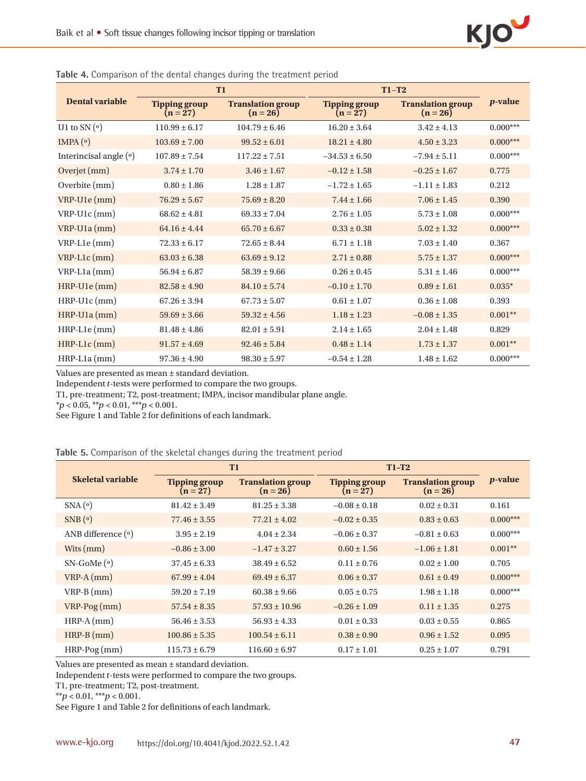| T <sub>1</sub>         |                                    | $T1-T2$                                |                                    |                                        |                 |
|------------------------|------------------------------------|----------------------------------------|------------------------------------|----------------------------------------|-----------------|
| Dental variable        | <b>Tipping group</b><br>$(n = 27)$ | <b>Translation group</b><br>$(n = 26)$ | <b>Tipping group</b><br>$(n = 27)$ | <b>Translation group</b><br>$(n = 26)$ | <i>p</i> -value |
| U1 to SN $(o)$         | $110.99 \pm 6.17$                  | $104.79 \pm 6.46$                      | $16.20 \pm 3.64$                   | $3.42 \pm 4.13$                        | $0.000***$      |
| IMPA $(°)$             | $103.69 \pm 7.00$                  | $99.52 \pm 6.01$                       | $18.21 \pm 4.80$                   | $4.50 \pm 3.23$                        | $0.000***$      |
| Interincisal angle (°) | $107.89 \pm 7.54$                  | $117.22 \pm 7.51$                      | $-34.53 \pm 6.50$                  | $-7.94 \pm 5.11$                       | $0.000***$      |
| Overjet (mm)           | $3.74 \pm 1.70$                    | $3.46 \pm 1.67$                        | $-0.12 \pm 1.58$                   | $-0.25 \pm 1.67$                       | 0.775           |
| Overbite (mm)          | $0.80 \pm 1.86$                    | $1.28 \pm 1.87$                        | $-1.72 \pm 1.65$                   | $-1.11 \pm 1.83$                       | 0.212           |
| VRP-U1e (mm)           | $76.29 \pm 5.67$                   | $75.69 \pm 8.20$                       | $7.44 \pm 1.66$                    | $7.06 \pm 1.45$                        | 0.390           |
| $VRP-U1c$ (mm)         | $68.62 \pm 4.81$                   | $69.33 \pm 7.04$                       | $2.76 \pm 1.05$                    | $5.73 \pm 1.08$                        | $0.000***$      |
| $VRP-U1a$ (mm)         | $64.16 \pm 4.44$                   | $65.70 \pm 6.67$                       | $0.33 \pm 0.38$                    | $5.02 \pm 1.32$                        | $0.000***$      |
| $VRP-L1e$ (mm)         | $72.33 \pm 6.17$                   | $72.65 \pm 8.44$                       | $6.71 \pm 1.18$                    | $7.03 \pm 1.40$                        | 0.367           |
| $VRP-L1c$ (mm)         | $63.03 \pm 6.38$                   | $63.69 \pm 9.12$                       | $2.71 \pm 0.88$                    | $5.75 \pm 1.37$                        | $0.000***$      |
| $VRP-L1a$ (mm)         | $56.94 \pm 6.87$                   | $58.39 \pm 9.66$                       | $0.26 \pm 0.45$                    | $5.31 \pm 1.46$                        | $0.000***$      |
| $HRP-Ule(mm)$          | $82.58 \pm 4.90$                   | $84.10 \pm 5.74$                       | $-0.10 \pm 1.70$                   | $0.89 \pm 1.61$                        | $0.035*$        |
| $HRP-Ulc$ (mm)         | $67.26 \pm 3.94$                   | $67.73 \pm 5.07$                       | $0.61 \pm 1.07$                    | $0.36 \pm 1.08$                        | 0.393           |
| $HRP-U1a$ (mm)         | $59.69 \pm 3.66$                   | $59.32 \pm 4.56$                       | $1.18 \pm 1.23$                    | $-0.08 \pm 1.35$                       | $0.001**$       |
| $HRP-L1e$ (mm)         | $81.48 \pm 4.86$                   | $82.01 \pm 5.91$                       | $2.14 \pm 1.65$                    | $2.04 \pm 1.48$                        | 0.829           |
| $HRP-L1c$ (mm)         | $91.57 \pm 4.69$                   | $92.46 \pm 5.84$                       | $0.48 \pm 1.14$                    | $1.73 \pm 1.37$                        | $0.001**$       |
| $HRP-L1a$ (mm)         | $97.36 \pm 4.90$                   | $98.30 \pm 5.97$                       | $-0.54 \pm 1.28$                   | $1.48 \pm 1.62$                        | $0.000***$      |

**Table 4.** Comparison of the dental changes during the treatment period

Values are presented as mean ± standard deviation.

Independent t-tests were performed to compare the two groups.

T1, pre-treatment; T2, post-treatment; IMPA, incisor mandibular plane angle.

 $**p* < 0.05, ***p* < 0.01, ***p* < 0.001.$ 

See Figure 1 and Table 2 for definitions of each landmark.

|                      | T <sub>1</sub>                     |                                        | $T1-T2$                            |                                        |                 |
|----------------------|------------------------------------|----------------------------------------|------------------------------------|----------------------------------------|-----------------|
| Skeletal variable    | <b>Tipping group</b><br>$(n = 27)$ | <b>Translation group</b><br>$(n = 26)$ | <b>Tipping group</b><br>$(n = 27)$ | <b>Translation group</b><br>$(n = 26)$ | <i>p</i> -value |
| SNA <sup>(o)</sup>   | $81.42 \pm 3.49$                   | $81.25 \pm 3.38$                       | $-0.08 \pm 0.18$                   | $0.02 \pm 0.31$                        | 0.161           |
| SNB <sup>(o)</sup>   | $77.46 \pm 3.55$                   | $77.21 \pm 4.02$                       | $-0.02 \pm 0.35$                   | $0.83 \pm 0.63$                        | $0.000***$      |
| ANB difference $(°)$ | $3.95 \pm 2.19$                    | $4.04 \pm 2.34$                        | $-0.06 \pm 0.37$                   | $-0.81 \pm 0.63$                       | $0.000***$      |
| Wits $(mm)$          | $-0.86 \pm 3.00$                   | $-1.47 \pm 3.27$                       | $0.60 \pm 1.56$                    | $-1.06 \pm 1.81$                       | $0.001**$       |
| $SN-GoMe(0)$         | $37.45 \pm 6.33$                   | $38.49 \pm 6.52$                       | $0.11 \pm 0.76$                    | $0.02 \pm 1.00$                        | 0.705           |
| $VRP-A$ (mm)         | $67.99 + 4.04$                     | $69.49 + 6.37$                         | $0.06 \pm 0.37$                    | $0.61 + 0.49$                          | $0.000***$      |
| $VRP-B (mm)$         | $59.20 \pm 7.19$                   | $60.38 \pm 9.66$                       | $0.05 \pm 0.75$                    | $1.98 \pm 1.18$                        | $0.000***$      |
| $VRP-Pog(mm)$        | $57.54 \pm 8.35$                   | $57.93 \pm 10.96$                      | $-0.26 \pm 1.09$                   | $0.11 \pm 1.35$                        | 0.275           |
| $HRP-A$ (mm)         | $56.46 \pm 3.53$                   | $56.93 \pm 4.33$                       | $0.01 \pm 0.33$                    | $0.03 \pm 0.55$                        | 0.865           |
| $HRP-B (mm)$         | $100.86 \pm 5.35$                  | $100.54 \pm 6.11$                      | $0.38 \pm 0.90$                    | $0.96 \pm 1.52$                        | 0.095           |
| $HRP-Pog(mm)$        | $115.73 \pm 6.79$                  | $116.60 \pm 6.97$                      | $0.17 \pm 1.01$                    | $0.25 \pm 1.07$                        | 0.791           |

Values are presented as mean ± standard deviation.

Independent t-tests were performed to compare the two groups.

T1, pre-treatment; T2, post-treatment.

 $*^{*}p$  < 0.01,  $*^{*}p$  < 0.001.

See Figure 1 and Table 2 for definitions of each landmark.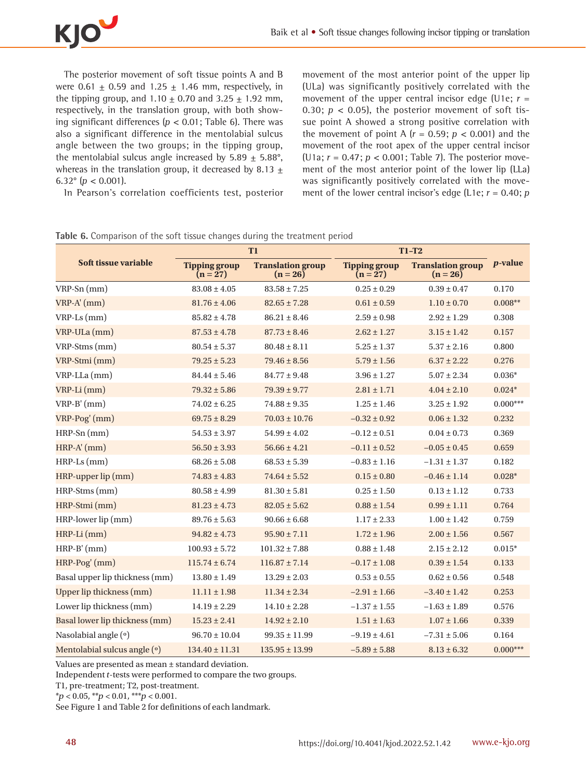

The posterior movement of soft tissue points A and B were 0.61  $\pm$  0.59 and 1.25  $\pm$  1.46 mm, respectively, in the tipping group, and  $1.10 \pm 0.70$  and  $3.25 \pm 1.92$  mm, respectively, in the translation group, with both showing significant differences ( $p < 0.01$ ; Table 6). There was also a significant difference in the mentolabial sulcus angle between the two groups; in the tipping group, the mentolabial sulcus angle increased by  $5.89 \pm 5.88^{\circ}$ , whereas in the translation group, it decreased by 8.13  $\pm$ 6.32 $^{\circ}$  (p < 0.001).

In Pearson's correlation coefficients test, posterior

movement of the most anterior point of the upper lip (ULa) was significantly positively correlated with the movement of the upper central incisor edge (U1e;  $r =$ 0.30;  $p < 0.05$ ), the posterior movement of soft tissue point A showed a strong positive correlation with the movement of point A  $(r = 0.59; p < 0.001)$  and the movement of the root apex of the upper central incisor (U1a;  $r = 0.47$ ;  $p < 0.001$ ; Table 7). The posterior movement of the most anterior point of the lower lip (LLa) was significantly positively correlated with the movement of the lower central incisor's edge (L1e;  $r = 0.40$ ;  $p$ 

|                                 | T <sub>1</sub>                   |                                        | $T1-T2$                            |                                        |                 |
|---------------------------------|----------------------------------|----------------------------------------|------------------------------------|----------------------------------------|-----------------|
| Soft tissue variable            | <b>Tipping group</b><br>$(n=27)$ | <b>Translation group</b><br>$(n = 26)$ | <b>Tipping group</b><br>$(n = 27)$ | <b>Translation group</b><br>$(n = 26)$ | <i>p</i> -value |
| $VRP-Sn$ (mm)                   | $83.08 \pm 4.05$                 | $83.58 \pm 7.25$                       | $0.25 \pm 0.29$                    | $0.39 \pm 0.47$                        | 0.170           |
| $VRP-A'(mm)$                    | $81.76 \pm 4.06$                 | $82.65 \pm 7.28$                       | $0.61 \pm 0.59$                    | $1.10 \pm 0.70$                        | $0.008**$       |
| $VRP-Ls$ (mm)                   | $85.82 \pm 4.78$                 | $86.21 \pm 8.46$                       | $2.59 \pm 0.98$                    | $2.92 \pm 1.29$                        | 0.308           |
| VRP-ULa (mm)                    | $87.53 \pm 4.78$                 | $87.73 \pm 8.46$                       | $2.62 \pm 1.27$                    | $3.15 \pm 1.42$                        | 0.157           |
| VRP-Stms (mm)                   | $80.54 \pm 5.37$                 | $80.48 \pm 8.11$                       | $5.25 \pm 1.37$                    | $5.37 \pm 2.16$                        | 0.800           |
| VRP-Stmi (mm)                   | $79.25 \pm 5.23$                 | $79.46 \pm 8.56$                       | $5.79 \pm 1.56$                    | $6.37 \pm 2.22$                        | 0.276           |
| $VRP\text{-}LLa$ (mm)           | $84.44 \pm 5.46$                 | $84.77 \pm 9.48$                       | $3.96 \pm 1.27$                    | $5.07 \pm 2.34$                        | $0.036*$        |
| VRP-Li (mm)                     | $79.32 \pm 5.86$                 | $79.39 \pm 9.77$                       | $2.81 \pm 1.71$                    | $4.04 \pm 2.10$                        | $0.024*$        |
| $VRP-B'(mm)$                    | $74.02 \pm 6.25$                 | $74.88 \pm 9.35$                       | $1.25 \pm 1.46$                    | $3.25 \pm 1.92$                        | $0.000***$      |
| $VRP-Pog'(mm)$                  | $69.75 \pm 8.29$                 | $70.03 \pm 10.76$                      | $-0.32 \pm 0.92$                   | $0.06 \pm 1.32$                        | 0.232           |
| $HRP-Sn$ (mm)                   | $54.53 \pm 3.97$                 | $54.99 \pm 4.02$                       | $-0.12 \pm 0.51$                   | $0.04 \pm 0.73$                        | 0.369           |
| $HRP-A'(mm)$                    | $56.50 \pm 3.93$                 | $56.66 \pm 4.21$                       | $-0.11 \pm 0.52$                   | $-0.05 \pm 0.45$                       | 0.659           |
| $HRP-Ls$ (mm)                   | $68.26 \pm 5.08$                 | $68.53 \pm 5.39$                       | $-0.83 \pm 1.16$                   | $-1.31 \pm 1.37$                       | 0.182           |
| HRP-upper lip (mm)              | $74.83 \pm 4.83$                 | $74.64 \pm 5.52$                       | $0.15 \pm 0.80$                    | $-0.46 \pm 1.14$                       | $0.028*$        |
| HRP-Stms (mm)                   | $80.58 \pm 4.99$                 | $81.30 \pm 5.81$                       | $0.25 \pm 1.50$                    | $0.13 \pm 1.12$                        | 0.733           |
| HRP-Stmi (mm)                   | $81.23 \pm 4.73$                 | $82.05 \pm 5.62$                       | $0.88 \pm 1.54$                    | $0.99 \pm 1.11$                        | 0.764           |
| HRP-lower lip (mm)              | $89.76 \pm 5.63$                 | $90.66 \pm 6.68$                       | $1.17 \pm 2.33$                    | $1.00\pm1.42$                          | 0.759           |
| $HRP-Li$ (mm)                   | $94.82 \pm 4.73$                 | $95.90 \pm 7.11$                       | $1.72 \pm 1.96$                    | $2.00 \pm 1.56$                        | 0.567           |
| $HRP-B'$ (mm)                   | $100.93 \pm 5.72$                | $101.32 \pm 7.88$                      | $0.88 \pm 1.48$                    | $2.15 \pm 2.12$                        | $0.015*$        |
| HRP-Pog' (mm)                   | $115.74 \pm 6.74$                | $116.87 \pm 7.14$                      | $-0.17 \pm 1.08$                   | $0.39 \pm 1.54$                        | 0.133           |
| Basal upper lip thickness (mm)  | $13.80 \pm 1.49$                 | $13.29 \pm 2.03$                       | $0.53 \pm 0.55$                    | $0.62 \pm 0.56$                        | 0.548           |
| <b>Upper lip thickness (mm)</b> | $11.11 \pm 1.98$                 | $11.34 \pm 2.34$                       | $-2.91 \pm 1.66$                   | $-3.40 \pm 1.42$                       | 0.253           |
| Lower lip thickness (mm)        | $14.19 \pm 2.29$                 | $14.10 \pm 2.28$                       | $-1.37\pm1.55$                     | $-1.63 \pm 1.89$                       | 0.576           |
| Basal lower lip thickness (mm)  | $15.23 \pm 2.41$                 | $14.92 \pm 2.10$                       | $1.51 \pm 1.63$                    | $1.07 \pm 1.66$                        | 0.339           |
| Nasolabial angle (°)            | $96.70 \pm 10.04$                | $99.35 \pm 11.99$                      | $-9.19 \pm 4.61$                   | $-7.31 \pm 5.06$                       | 0.164           |
| Mentolabial sulcus angle (°)    | $134.40 \pm 11.31$               | $135.95 \pm 13.99$                     | $-5.89 \pm 5.88$                   | $8.13 \pm 6.32$                        | $0.000***$      |

**Table 6.** Comparison of the soft tissue changes during the treatment period

Values are presented as mean ± standard deviation.

Independent t-tests were performed to compare the two groups.

T1, pre-treatment; T2, post-treatment.

 $**p* < 0.05, ***p* < 0.01, ***p* < 0.001.$ 

See Figure 1 and Table 2 for definitions of each landmark.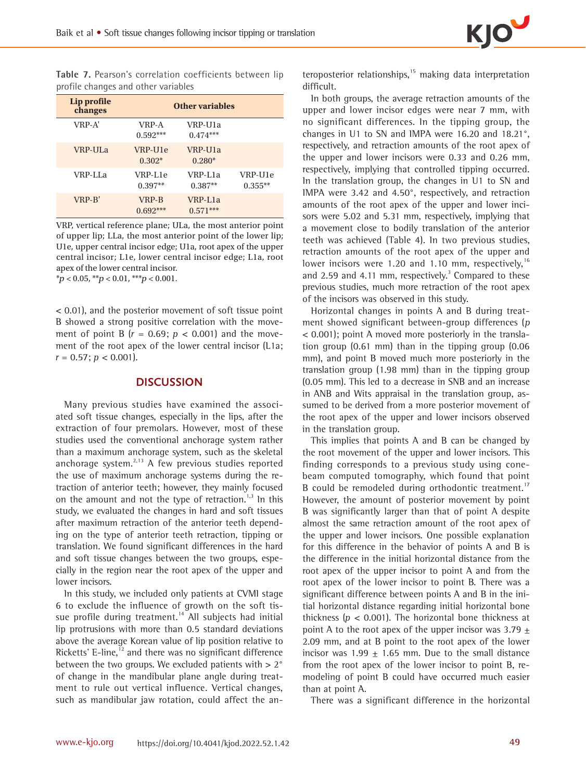

**Table 7.** Pearson's correlation coefficients between lip profile changes and other variables

| Lip profile<br>changes |                      | <b>Other variables</b> |                      |
|------------------------|----------------------|------------------------|----------------------|
| VRP-A'                 | VRP-A<br>$0.592***$  | VRP-U1a<br>$0.474***$  |                      |
| VRP-ULa                | VRP-U1e<br>$0.302*$  | VRP-U1a<br>$0.280*$    |                      |
| VRP-LLa                | VRP-L1e<br>$0.397**$ | VRP-L1a<br>$0.387**$   | VRP-U1e<br>$0.355**$ |
| VRP-B'                 | VRP-B<br>$0.692***$  | VRP-L1a<br>$0.571***$  |                      |

VRP, vertical reference plane; ULa, the most anterior point of upper lip; LLa, the most anterior point of the lower lip; U1e, upper central incisor edge; U1a, root apex of the upper central incisor; L1e, lower central incisor edge; L1a, root apex of the lower central incisor.

 $**p* < 0.05, ***p* < 0.01, ***p* < 0.001.$ 

< 0.01), and the posterior movement of soft tissue point B showed a strong positive correlation with the movement of point B  $(r = 0.69; p < 0.001)$  and the movement of the root apex of the lower central incisor (L1a;  $r = 0.57$ ;  $p < 0.001$ ).

### **DISCUSSION**

Many previous studies have examined the associated soft tissue changes, especially in the lips, after the extraction of four premolars. However, most of these studies used the conventional anchorage system rather than a maximum anchorage system, such as the skeletal anchorage system.<sup>2,13</sup> A few previous studies reported the use of maximum anchorage systems during the retraction of anterior teeth; however, they mainly focused on the amount and not the type of retraction.<sup>1,3</sup> In this study, we evaluated the changes in hard and soft tissues after maximum retraction of the anterior teeth depending on the type of anterior teeth retraction, tipping or translation. We found significant differences in the hard and soft tissue changes between the two groups, especially in the region near the root apex of the upper and lower incisors.

In this study, we included only patients at CVMI stage 6 to exclude the influence of growth on the soft tissue profile during treatment.<sup>14</sup> All subjects had initial lip protrusions with more than 0.5 standard deviations above the average Korean value of lip position relative to Ricketts' E-line, $^{12}$  and there was no significant difference between the two groups. We excluded patients with  $> 2°$ of change in the mandibular plane angle during treatment to rule out vertical influence. Vertical changes, such as mandibular jaw rotation, could affect the anteroposterior relationships, $15$  making data interpretation difficult.

In both groups, the average retraction amounts of the upper and lower incisor edges were near 7 mm, with no significant differences. In the tipping group, the changes in U1 to SN and IMPA were 16.20 and 18.21°, respectively, and retraction amounts of the root apex of the upper and lower incisors were 0.33 and 0.26 mm, respectively, implying that controlled tipping occurred. In the translation group, the changes in U1 to SN and IMPA were 3.42 and 4.50°, respectively, and retraction amounts of the root apex of the upper and lower incisors were 5.02 and 5.31 mm, respectively, implying that a movement close to bodily translation of the anterior teeth was achieved (Table 4). In two previous studies, retraction amounts of the root apex of the upper and lower incisors were 1.20 and 1.10 mm, respectively,  $16$ and 2.59 and 4.11 mm, respectively.<sup>3</sup> Compared to these previous studies, much more retraction of the root apex of the incisors was observed in this study.

Horizontal changes in points A and B during treatment showed significant between-group differences (<sup>p</sup> < 0.001); point A moved more posteriorly in the translation group (0.61 mm) than in the tipping group (0.06 mm), and point B moved much more posteriorly in the translation group (1.98 mm) than in the tipping group (0.05 mm). This led to a decrease in SNB and an increase in ANB and Wits appraisal in the translation group, assumed to be derived from a more posterior movement of the root apex of the upper and lower incisors observed in the translation group.

This implies that points A and B can be changed by the root movement of the upper and lower incisors. This finding corresponds to a previous study using conebeam computed tomography, which found that point B could be remodeled during orthodontic treatment.<sup>17</sup> However, the amount of posterior movement by point B was significantly larger than that of point A despite almost the same retraction amount of the root apex of the upper and lower incisors. One possible explanation for this difference in the behavior of points A and B is the difference in the initial horizontal distance from the root apex of the upper incisor to point A and from the root apex of the lower incisor to point B. There was a significant difference between points A and B in the initial horizontal distance regarding initial horizontal bone thickness ( $p < 0.001$ ). The horizontal bone thickness at point A to the root apex of the upper incisor was  $3.79 +$ 2.09 mm, and at B point to the root apex of the lower incisor was 1.99  $\pm$  1.65 mm. Due to the small distance from the root apex of the lower incisor to point B, remodeling of point B could have occurred much easier than at point A.

There was a significant difference in the horizontal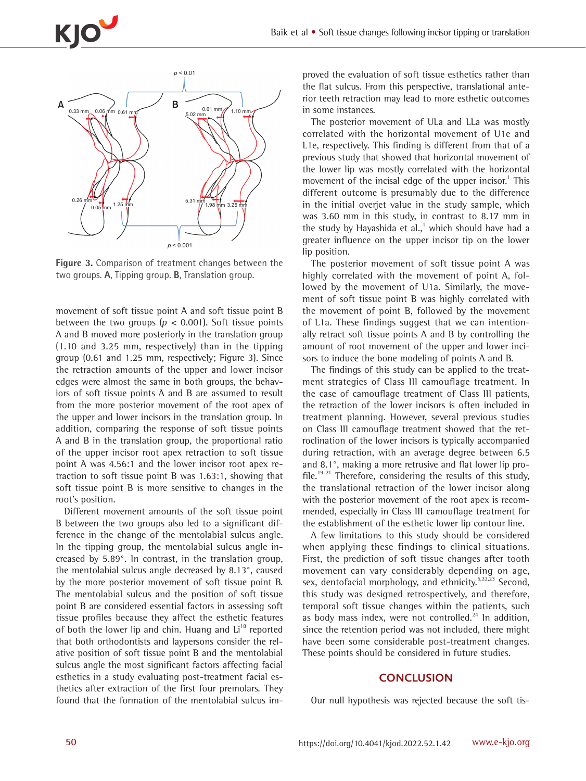



**Figure 3.** Comparison of treatment changes between the two groups. **A**, Tipping group. **B**, Translation group.

movement of soft tissue point A and soft tissue point B between the two groups ( $p < 0.001$ ). Soft tissue points A and B moved more posteriorly in the translation group (1.10 and 3.25 mm, respectively) than in the tipping group (0.61 and 1.25 mm, respectively; Figure 3). Since the retraction amounts of the upper and lower incisor edges were almost the same in both groups, the behaviors of soft tissue points A and B are assumed to result from the more posterior movement of the root apex of the upper and lower incisors in the translation group. In addition, comparing the response of soft tissue points A and B in the translation group, the proportional ratio of the upper incisor root apex retraction to soft tissue point A was 4.56:1 and the lower incisor root apex retraction to soft tissue point B was 1.63:1, showing that soft tissue point B is more sensitive to changes in the root's position.

Different movement amounts of the soft tissue point B between the two groups also led to a significant difference in the change of the mentolabial sulcus angle. In the tipping group, the mentolabial sulcus angle increased by 5.89°. In contrast, in the translation group, the mentolabial sulcus angle decreased by 8.13°, caused by the more posterior movement of soft tissue point B. The mentolabial sulcus and the position of soft tissue point B are considered essential factors in assessing soft tissue profiles because they affect the esthetic features of both the lower lip and chin. Huang and  $Li<sup>18</sup>$  reported that both orthodontists and laypersons consider the relative position of soft tissue point B and the mentolabial sulcus angle the most significant factors affecting facial esthetics in a study evaluating post-treatment facial esthetics after extraction of the first four premolars. They found that the formation of the mentolabial sulcus im-

proved the evaluation of soft tissue esthetics rather than the flat sulcus. From this perspective, translational anterior teeth retraction may lead to more esthetic outcomes in some instances.

The posterior movement of ULa and LLa was mostly correlated with the horizontal movement of U1e and L1e, respectively. This finding is different from that of a previous study that showed that horizontal movement of the lower lip was mostly correlated with the horizontal movement of the incisal edge of the upper incisor.<sup>1</sup> This different outcome is presumably due to the difference in the initial overjet value in the study sample, which was 3.60 mm in this study, in contrast to 8.17 mm in the study by Hayashida et al.,<sup>1</sup> which should have had a greater influence on the upper incisor tip on the lower lip position.

The posterior movement of soft tissue point A was highly correlated with the movement of point A, followed by the movement of U1a. Similarly, the movement of soft tissue point B was highly correlated with the movement of point B, followed by the movement of L1a. These findings suggest that we can intentionally retract soft tissue points A and B by controlling the amount of root movement of the upper and lower incisors to induce the bone modeling of points A and B.

The findings of this study can be applied to the treatment strategies of Class III camouflage treatment. In the case of camouflage treatment of Class III patients, the retraction of the lower incisors is often included in treatment planning. However, several previous studies on Class III camouflage treatment showed that the retroclination of the lower incisors is typically accompanied during retraction, with an average degree between 6.5 and 8.1°, making a more retrusive and flat lower lip profile.<sup>19-21</sup> Therefore, considering the results of this study, the translational retraction of the lower incisor along with the posterior movement of the root apex is recommended, especially in Class III camouflage treatment for the establishment of the esthetic lower lip contour line.

A few limitations to this study should be considered when applying these findings to clinical situations. First, the prediction of soft tissue changes after tooth movement can vary considerably depending on age, sex, dentofacial morphology, and ethnicity.<sup>5,22,23</sup> Second, this study was designed retrospectively, and therefore, temporal soft tissue changes within the patients, such as body mass index, were not controlled. $^{24}$  ln addition, since the retention period was not included, there might have been some considerable post-treatment changes. These points should be considered in future studies.

## **CONCLUSION**

Our null hypothesis was rejected because the soft tis-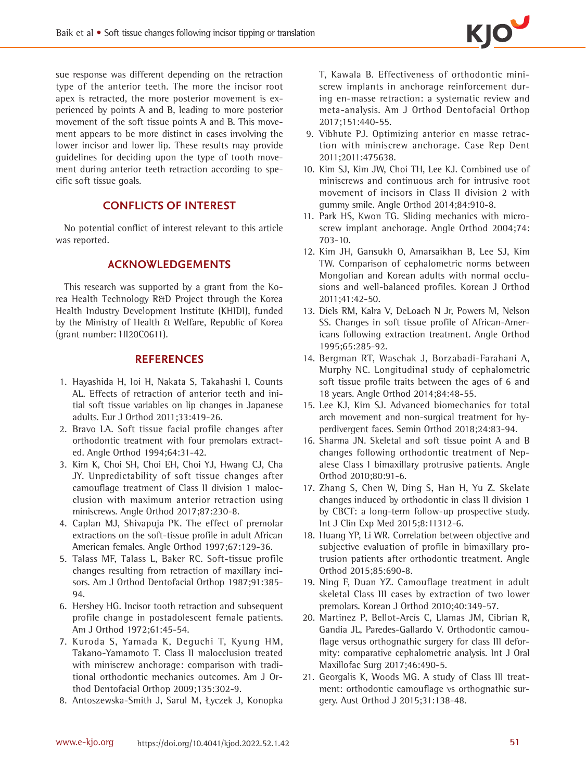sue response was different depending on the retraction type of the anterior teeth. The more the incisor root apex is retracted, the more posterior movement is experienced by points A and B, leading to more posterior movement of the soft tissue points A and B. This movement appears to be more distinct in cases involving the lower incisor and lower lip. These results may provide guidelines for deciding upon the type of tooth movement during anterior teeth retraction according to specific soft tissue goals.

# **CONFLICTS OF INTEREST**

No potential conflict of interest relevant to this article was reported.

# **ACKNOWLEDGEMENTS**

This research was supported by a grant from the Korea Health Technology R&D Project through the Korea Health Industry Development Institute (KHIDI), funded by the Ministry of Health & Welfare, Republic of Korea (grant number: HI20C0611).

# **REFERENCES**

- 1. Hayashida H, Ioi H, Nakata S, Takahashi I, Counts AL. Effects of retraction of anterior teeth and initial soft tissue variables on lip changes in Japanese adults. Eur J Orthod 2011;33:419-26.
- 2. Bravo LA. Soft tissue facial profile changes after orthodontic treatment with four premolars extracted. Angle Orthod 1994;64:31-42.
- 3. Kim K, Choi SH, Choi EH, Choi YJ, Hwang CJ, Cha JY. Unpredictability of soft tissue changes after camouflage treatment of Class II division 1 malocclusion with maximum anterior retraction using miniscrews. Angle Orthod 2017;87:230-8.
- 4. Caplan MJ, Shivapuja PK. The effect of premolar extractions on the soft-tissue profile in adult African American females. Angle Orthod 1997;67:129-36.
- 5. Talass MF, Talass L, Baker RC. Soft-tissue profile changes resulting from retraction of maxillary incisors. Am J Orthod Dentofacial Orthop 1987;91:385- 94.
- 6. Hershey HG. Incisor tooth retraction and subsequent profile change in postadolescent female patients. Am J Orthod 1972;61:45-54.
- 7. Kuroda S, Yamada K, Deguchi T, Kyung HM, Takano-Yamamoto T. Class II malocclusion treated with miniscrew anchorage: comparison with traditional orthodontic mechanics outcomes. Am J Orthod Dentofacial Orthop 2009;135:302-9.
- 8. Antoszewska-Smith J, Sarul M, Łyczek J, Konopka

T, Kawala B. Effectiveness of orthodontic miniscrew implants in anchorage reinforcement during en-masse retraction: a systematic review and meta-analysis. Am J Orthod Dentofacial Orthop 2017;151:440-55.

- 9. Vibhute PJ. Optimizing anterior en masse retraction with miniscrew anchorage. Case Rep Dent 2011;2011:475638.
- 10. Kim SJ, Kim JW, Choi TH, Lee KJ. Combined use of miniscrews and continuous arch for intrusive root movement of incisors in Class II division 2 with gummy smile. Angle Orthod 2014;84:910-8.
- 11. Park HS, Kwon TG. Sliding mechanics with microscrew implant anchorage. Angle Orthod 2004;74: 703-10.
- 12. [Kim JH, Gansukh O, Amarsaikhan B, Lee SJ, Kim](https://e-kjo.org/journal/view.html?uid=405&vmd=Full)  [TW. Comparison of cephalometric norms between](https://e-kjo.org/journal/view.html?uid=405&vmd=Full)  [Mongolian and Korean adults with normal occlu](https://e-kjo.org/journal/view.html?uid=405&vmd=Full)[sions and well-balanced profiles. Korean J Orthod](https://e-kjo.org/journal/view.html?uid=405&vmd=Full)  [2011;41:42-50](https://e-kjo.org/journal/view.html?uid=405&vmd=Full).
- 13. Diels RM, Kalra V, DeLoach N Jr, Powers M, Nelson SS. Changes in soft tissue profile of African-Americans following extraction treatment. Angle Orthod 1995;65:285-92.
- 14. Bergman RT, Waschak J, Borzabadi-Farahani A, Murphy NC. Longitudinal study of cephalometric soft tissue profile traits between the ages of 6 and 18 years. Angle Orthod 2014;84:48-55.
- 15. [Lee KJ, Kim SJ. Advanced biomechanics for total](https://doi.org/10.1053/j.sodo.2018.01.008)  [arch movement and non-surgical treatment for hy](https://doi.org/10.1053/j.sodo.2018.01.008)[perdivergent faces. Semin Orthod 2018;24:83-94.](https://doi.org/10.1053/j.sodo.2018.01.008)
- 16. Sharma JN. Skeletal and soft tissue point A and B changes following orthodontic treatment of Nepalese Class I bimaxillary protrusive patients. Angle Orthod 2010;80:91-6.
- 17. Zhang S, Chen W, Ding S, Han H, Yu Z. Skelate changes induced by orthodontic in class II division 1 by CBCT: a long-term follow-up prospective study. Int J Clin Exp Med 2015;8:11312-6.
- 18. Huang YP, Li WR. Correlation between objective and subjective evaluation of profile in bimaxillary protrusion patients after orthodontic treatment. Angle Orthod 2015;85:690-8.
- 19. [Ning F, Duan YZ. Camouflage treatment in adult](https://e-kjo.org/journal/view.html?uid=475&vmd=Full)  [skeletal Class III cases by extraction of two lower](https://e-kjo.org/journal/view.html?uid=475&vmd=Full)  [premolars. Korean J Orthod 2010;40:349-57.](https://e-kjo.org/journal/view.html?uid=475&vmd=Full)
- 20. Martinez P, Bellot-Arcís C, Llamas JM, Cibrian R, Gandia JL, Paredes-Gallardo V. Orthodontic camouflage versus orthognathic surgery for class III deformity: comparative cephalometric analysis. Int J Oral Maxillofac Surg 2017;46:490-5.
- 21. Georgalis K, Woods MG. A study of Class III treatment: orthodontic camouflage vs orthognathic surgery. Aust Orthod J 2015;31:138-48.